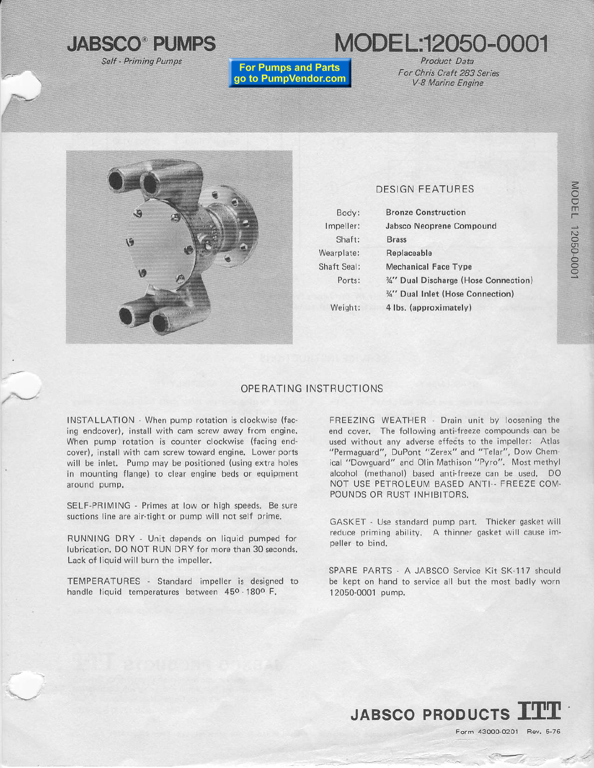

MODEL:12050-0001

**For Pumps and Parts** go to PumpVendor.com

Product Data For Chris Craft 283 Series V-8 Marine Engine



## **DESIGN FEATURES**

| Body:       | <b>Bronze Construction</b>           |  |  |
|-------------|--------------------------------------|--|--|
| Impeller:   | Jabsco Neoprene Compound             |  |  |
| Shaft:      | <b>Brass</b>                         |  |  |
| Wearplate:  | Replaceable                          |  |  |
| Shaft Seal: | <b>Mechanical Face Type</b>          |  |  |
| Ports:      | 34" Dual Discharge (Hose Connection) |  |  |
|             | %" Dual Inlet (Hose Connection)      |  |  |
| Weight:     | 4 lbs. (approximately)               |  |  |
|             |                                      |  |  |

### OPERATING INSTRUCTIONS

INSTALLATION - When pump rotation is clockwise (facing endcover), install with cam screw away from engine. When pump rotation is counter clockwise (facing endcover), install with cam screw toward engine. Lower ports will be inlet. Pump may be positioned (using extra holes in mounting flange) to clear engine beds or equipment around pump.

SELF-PRIMING - Primes at low or high speeds. Be sure suctions line are air-tight or pump will not self prime.

RUNNING DRY - Unit depends on liquid pumped for lubrication. DO NOT RUN DRY for more than 30 seconds. Lack of liquid will burn the impeller.

TEMPERATURES - Standard impeller is designed to handle liquid temperatures between 450-1800 F.

FREEZING WEATHER - Drain unit by loosening the end cover. The following anti-freeze compounds can be used without any adverse effects to the impeller: Atlas "Permaguard", DuPont "Zerex" and "Telar", Dow Chemical "Dowguard" and Olin Mathison "Pyro". Most methyl alcohol (methanol) based anti-freeze can be used. DO NOT USE PETROLEUM BASED ANTI -- FREEZE COM-POUNDS OR RUST INHIBITORS.

GASKET - Use standard pump part. Thicker gasket will reduce priming ability. A thinner gasket will cause impeller to bind.

SPARE PARTS - A JABSCO Service Kit SK-117 should be kept on hand to service all but the most badly worn 12050-0001 pump.

**JABSCO PRODUCTS** 

MODEL 12050-0001

Form 43000-0201 Rev. 5-76